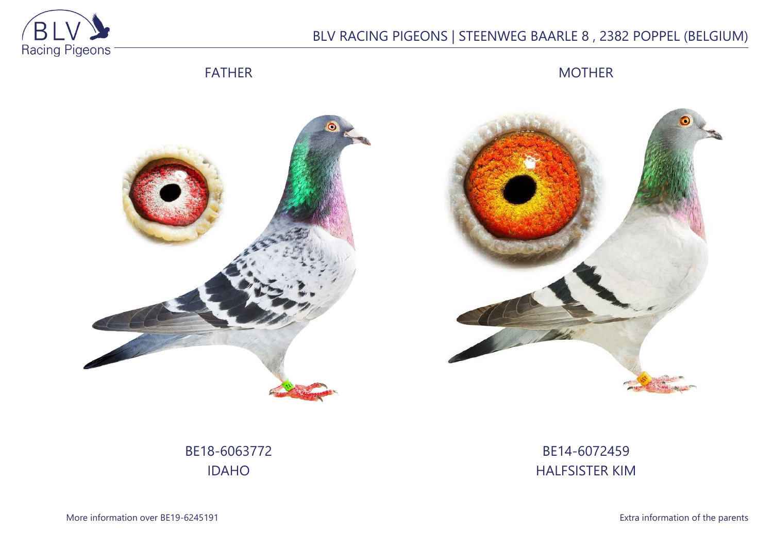

# BLV RACING PIGEONS | STEENWEG BAARLE 8 , 2382 POPPEL (BELGIUM)

## FATHER

MOTHER





BE18-6063772 IDAHO

BE14-6072459 HALFSISTER KIM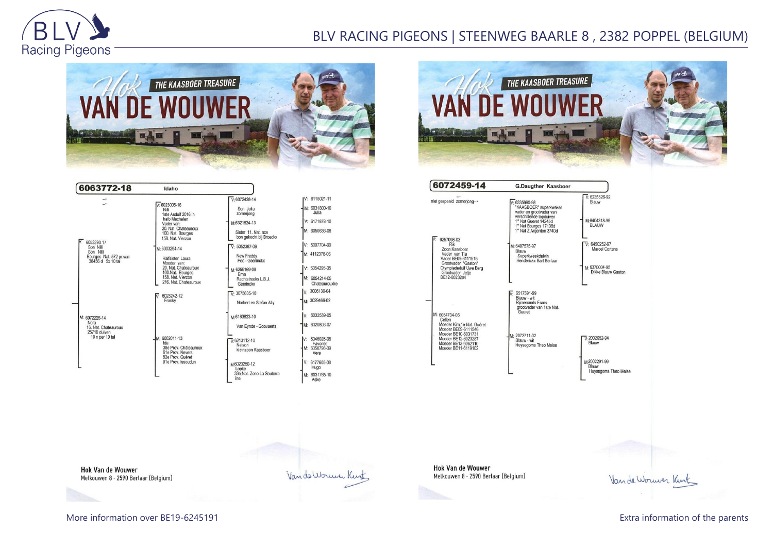

## BLV RACING PIGEONS | STEENWEG BAARLE 8 , 2382 POPPEL (BELGIUM)









**Hok Van de Wouwer** Melkouwen 8 - 2590 Berlaar (Belgium)

Van de Worwer Kink

**Hok Van de Wouwer** Melkouwen 8 - 2590 Berlaar (Belgium)

Van de Wouwer Kunt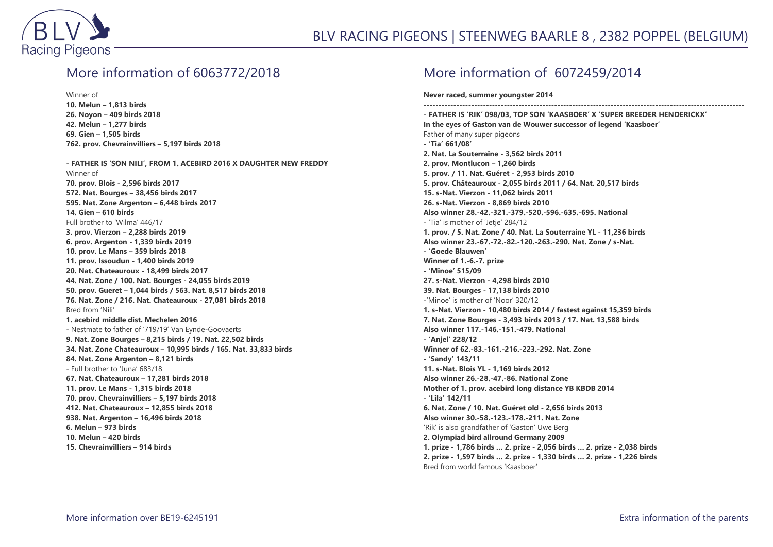

#### More information of 6063772/2018

Winner of **10. Melun – 1,813 birds 26. Noyon – 409 birds 2018 42. Melun – 1,277 birds 69. Gien – 1,505 birds 762. prov. Chevrainvilliers – 5,197 birds 2018**

**- FATHER IS 'SON NILI', FROM 1. ACEBIRD 2016 X DAUGHTER NEW FREDDY** Winner of **70. prov. Blois - 2,596 birds 2017 572. Nat. Bourges – 38,456 birds 2017 595. Nat. Zone Argenton – 6,448 birds 2017 14. Gien – 610 birds** Full brother to 'Wilma' 446/17 **3. prov. Vierzon – 2,288 birds 2019 6. prov. Argenton - 1,339 birds 2019 10. prov. Le Mans – 359 birds 2018 11. prov. Issoudun - 1,400 birds 2019 20. Nat. Chateauroux - 18,499 birds 2017 44. Nat. Zone / 100. Nat. Bourges - 24,055 birds 2019 50. prov. Gueret – 1,044 birds / 563. Nat. 8,517 birds 2018 76. Nat. Zone / 216. Nat. Chateauroux - 27,081 birds 2018** Bred from 'Nili' **1. acebird middle dist. Mechelen 2016** - Nestmate to father of '719/19' Van Eynde-Goovaerts **9. Nat. Zone Bourges – 8,215 birds / 19. Nat. 22,502 birds 34. Nat. Zone Chateauroux – 10,995 birds / 165. Nat. 33,833 birds 84. Nat. Zone Argenton – 8,121 birds** - Full brother to 'Juna' 683/18 **67. Nat. Chateauroux – 17,281 birds 2018 11. prov. Le Mans - 1,315 birds 2018 70. prov. Chevrainvilliers – 5,197 birds 2018 412. Nat. Chateauroux – 12,855 birds 2018 938. Nat. Argenton – 16,496 birds 2018 6. Melun – 973 birds 10. Melun – 420 birds 15. Chevrainvilliers – 914 birds**

#### More information of 6072459/2014

**Never raced, summer youngster 2014**

**------------------------------------------------------------------------------------------------------------ - FATHER IS 'RIK' 098/03, TOP SON 'KAASBOER' X 'SUPER BREEDER HENDERICKX' In the eyes of Gaston van de Wouwer successor of legend 'Kaasboer'** Father of many super pigeons **- 'Tia' 661/08' 2. Nat. La Souterraine - 3,562 birds 2011 2. prov. Montlucon – 1,260 birds 5. prov. / 11. Nat. Guéret - 2,953 birds 2010 5. prov. Châteauroux - 2,055 birds 2011 / 64. Nat. 20,517 birds 15. s-Nat. Vierzon - 11,062 birds 2011 26. s-Nat. Vierzon - 8,869 birds 2010 Also winner 28.-42.-321.-379.-520.-596.-635.-695. National** - 'Tia' is mother of 'Jetje' 284/12 **1. prov. / 5. Nat. Zone / 40. Nat. La Souterraine YL - 11,236 birds Also winner 23.-67.-72.-82.-120.-263.-290. Nat. Zone / s-Nat. - 'Goede Blauwen' Winner of 1.-6.-7. prize - 'Minoe' 515/09 27. s-Nat. Vierzon - 4,298 birds 2010 39. Nat. Bourges - 17,138 birds 2010** -'Minoe' is mother of 'Noor' 320/12 **1. s-Nat. Vierzon - 10,480 birds 2014 / fastest against 15,359 birds 7. Nat. Zone Bourges - 3,493 birds 2013 / 17. Nat. 13,588 birds Also winner 117.-146.-151.-479. National - 'Anjel' 228/12 Winner of 62.-83.-161.-216.-223.-292. Nat. Zone - 'Sandy' 143/11 11. s-Nat. Blois YL - 1,169 birds 2012 Also winner 26.-28.-47.-86. National Zone Mother of 1. prov. acebird long distance YB KBDB 2014 - 'Lila' 142/11 6. Nat. Zone / 10. Nat. Guéret old - 2,656 birds 2013 Also winner 30.-58.-123.-178.-211. Nat. Zone** 'Rik' is also grandfather of 'Gaston' Uwe Berg **2. Olympiad bird allround Germany 2009 1. prize - 1,786 birds … 2. prize - 2,056 birds … 2. prize - 2,038 birds 2. prize - 1,597 birds … 2. prize - 1,330 birds … 2. prize - 1,226 birds** Bred from world famous 'Kaasboer'